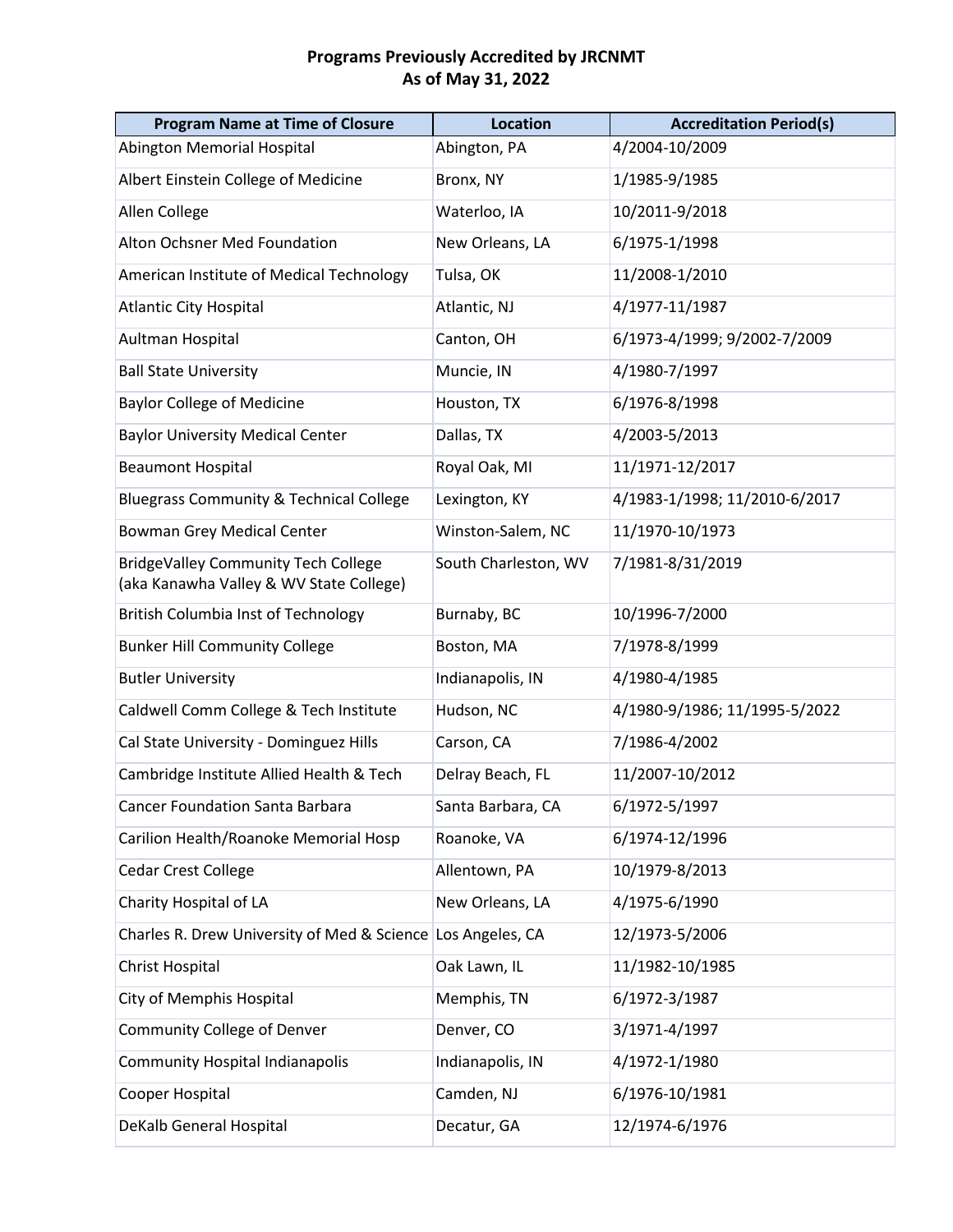| <b>Program Name at Time of Closure</b>                                                | <b>Location</b>      | <b>Accreditation Period(s)</b> |
|---------------------------------------------------------------------------------------|----------------------|--------------------------------|
| Abington Memorial Hospital                                                            | Abington, PA         | 4/2004-10/2009                 |
| Albert Einstein College of Medicine                                                   | Bronx, NY            | 1/1985-9/1985                  |
| Allen College                                                                         | Waterloo, IA         | 10/2011-9/2018                 |
| Alton Ochsner Med Foundation                                                          | New Orleans, LA      | 6/1975-1/1998                  |
| American Institute of Medical Technology                                              | Tulsa, OK            | 11/2008-1/2010                 |
| <b>Atlantic City Hospital</b>                                                         | Atlantic, NJ         | 4/1977-11/1987                 |
| Aultman Hospital                                                                      | Canton, OH           | 6/1973-4/1999; 9/2002-7/2009   |
| <b>Ball State University</b>                                                          | Muncie, IN           | 4/1980-7/1997                  |
| <b>Baylor College of Medicine</b>                                                     | Houston, TX          | 6/1976-8/1998                  |
| <b>Baylor University Medical Center</b>                                               | Dallas, TX           | 4/2003-5/2013                  |
| <b>Beaumont Hospital</b>                                                              | Royal Oak, MI        | 11/1971-12/2017                |
| <b>Bluegrass Community &amp; Technical College</b>                                    | Lexington, KY        | 4/1983-1/1998; 11/2010-6/2017  |
| <b>Bowman Grey Medical Center</b>                                                     | Winston-Salem, NC    | 11/1970-10/1973                |
| <b>BridgeValley Community Tech College</b><br>(aka Kanawha Valley & WV State College) | South Charleston, WV | 7/1981-8/31/2019               |
| <b>British Columbia Inst of Technology</b>                                            | Burnaby, BC          | 10/1996-7/2000                 |
| <b>Bunker Hill Community College</b>                                                  | Boston, MA           | 7/1978-8/1999                  |
| <b>Butler University</b>                                                              | Indianapolis, IN     | 4/1980-4/1985                  |
| Caldwell Comm College & Tech Institute                                                | Hudson, NC           | 4/1980-9/1986; 11/1995-5/2022  |
| Cal State University - Dominguez Hills                                                | Carson, CA           | 7/1986-4/2002                  |
| Cambridge Institute Allied Health & Tech                                              | Delray Beach, FL     | 11/2007-10/2012                |
| <b>Cancer Foundation Santa Barbara</b>                                                | Santa Barbara, CA    | 6/1972-5/1997                  |
| Carilion Health/Roanoke Memorial Hosp                                                 | Roanoke, VA          | 6/1974-12/1996                 |
| <b>Cedar Crest College</b>                                                            | Allentown, PA        | 10/1979-8/2013                 |
| Charity Hospital of LA                                                                | New Orleans, LA      | 4/1975-6/1990                  |
| Charles R. Drew University of Med & Science Los Angeles, CA                           |                      | 12/1973-5/2006                 |
| Christ Hospital                                                                       | Oak Lawn, IL         | 11/1982-10/1985                |
| City of Memphis Hospital                                                              | Memphis, TN          | 6/1972-3/1987                  |
| Community College of Denver                                                           | Denver, CO           | 3/1971-4/1997                  |
| <b>Community Hospital Indianapolis</b>                                                | Indianapolis, IN     | 4/1972-1/1980                  |
| Cooper Hospital                                                                       | Camden, NJ           | 6/1976-10/1981                 |
| DeKalb General Hospital                                                               | Decatur, GA          | 12/1974-6/1976                 |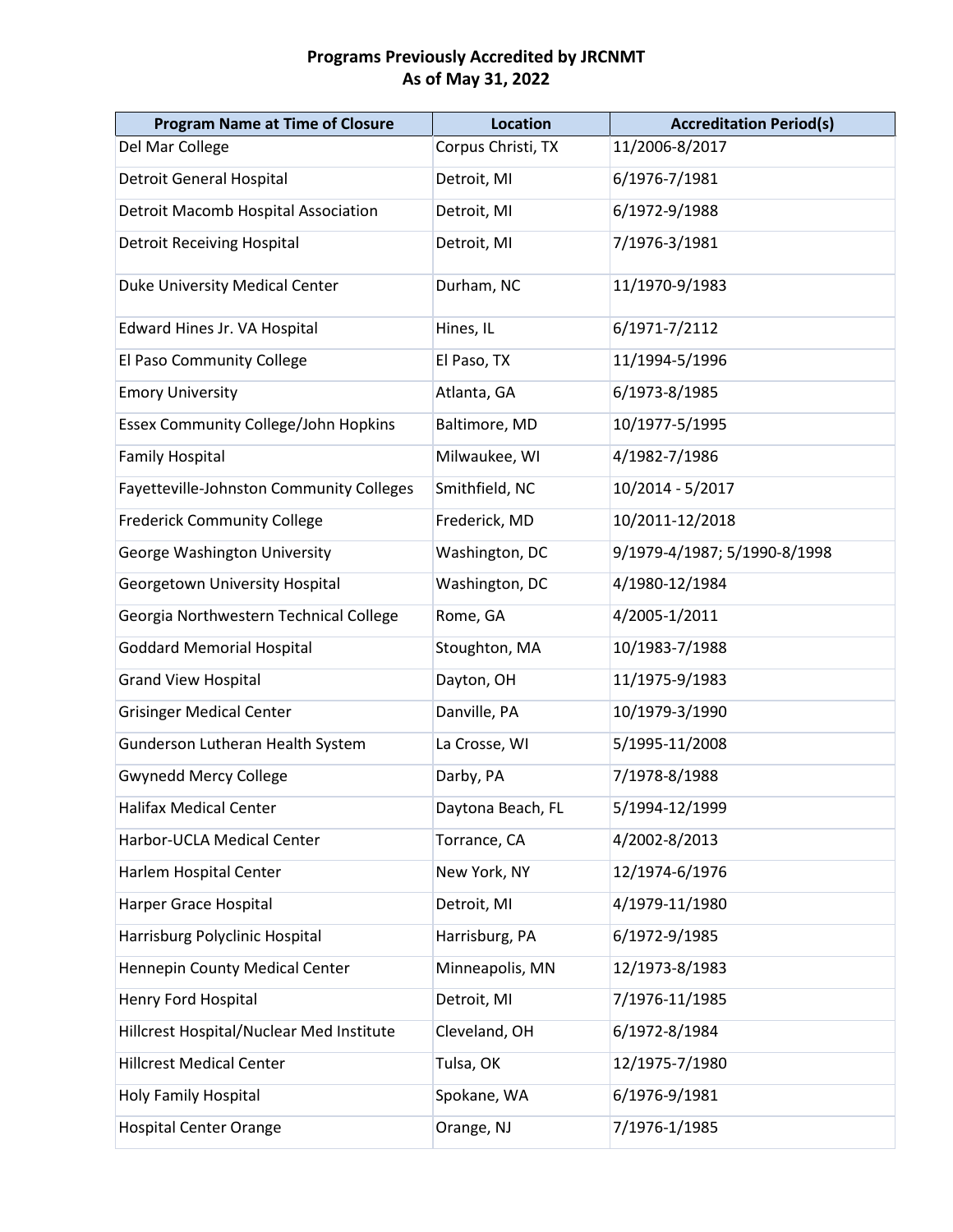| <b>Program Name at Time of Closure</b>          | <b>Location</b>    | <b>Accreditation Period(s)</b> |
|-------------------------------------------------|--------------------|--------------------------------|
| Del Mar College                                 | Corpus Christi, TX | 11/2006-8/2017                 |
| <b>Detroit General Hospital</b>                 | Detroit, MI        | 6/1976-7/1981                  |
| <b>Detroit Macomb Hospital Association</b>      | Detroit, MI        | 6/1972-9/1988                  |
| <b>Detroit Receiving Hospital</b>               | Detroit, MI        | 7/1976-3/1981                  |
| Duke University Medical Center                  | Durham, NC         | 11/1970-9/1983                 |
| Edward Hines Jr. VA Hospital                    | Hines, IL          | 6/1971-7/2112                  |
| El Paso Community College                       | El Paso, TX        | 11/1994-5/1996                 |
| <b>Emory University</b>                         | Atlanta, GA        | 6/1973-8/1985                  |
| <b>Essex Community College/John Hopkins</b>     | Baltimore, MD      | 10/1977-5/1995                 |
| <b>Family Hospital</b>                          | Milwaukee, WI      | 4/1982-7/1986                  |
| <b>Fayetteville-Johnston Community Colleges</b> | Smithfield, NC     | 10/2014 - 5/2017               |
| <b>Frederick Community College</b>              | Frederick, MD      | 10/2011-12/2018                |
| George Washington University                    | Washington, DC     | 9/1979-4/1987; 5/1990-8/1998   |
| Georgetown University Hospital                  | Washington, DC     | 4/1980-12/1984                 |
| Georgia Northwestern Technical College          | Rome, GA           | 4/2005-1/2011                  |
| <b>Goddard Memorial Hospital</b>                | Stoughton, MA      | 10/1983-7/1988                 |
| <b>Grand View Hospital</b>                      | Dayton, OH         | 11/1975-9/1983                 |
| <b>Grisinger Medical Center</b>                 | Danville, PA       | 10/1979-3/1990                 |
| Gunderson Lutheran Health System                | La Crosse, WI      | 5/1995-11/2008                 |
| <b>Gwynedd Mercy College</b>                    | Darby, PA          | 7/1978-8/1988                  |
| Halifax Medical Center                          | Daytona Beach, FL  | 5/1994-12/1999                 |
| Harbor-UCLA Medical Center                      | Torrance, CA       | 4/2002-8/2013                  |
| Harlem Hospital Center                          | New York, NY       | 12/1974-6/1976                 |
| Harper Grace Hospital                           | Detroit, MI        | 4/1979-11/1980                 |
| Harrisburg Polyclinic Hospital                  | Harrisburg, PA     | 6/1972-9/1985                  |
| Hennepin County Medical Center                  | Minneapolis, MN    | 12/1973-8/1983                 |
| Henry Ford Hospital                             | Detroit, MI        | 7/1976-11/1985                 |
| Hillcrest Hospital/Nuclear Med Institute        | Cleveland, OH      | 6/1972-8/1984                  |
| <b>Hillcrest Medical Center</b>                 | Tulsa, OK          | 12/1975-7/1980                 |
| <b>Holy Family Hospital</b>                     | Spokane, WA        | 6/1976-9/1981                  |
| <b>Hospital Center Orange</b>                   | Orange, NJ         | 7/1976-1/1985                  |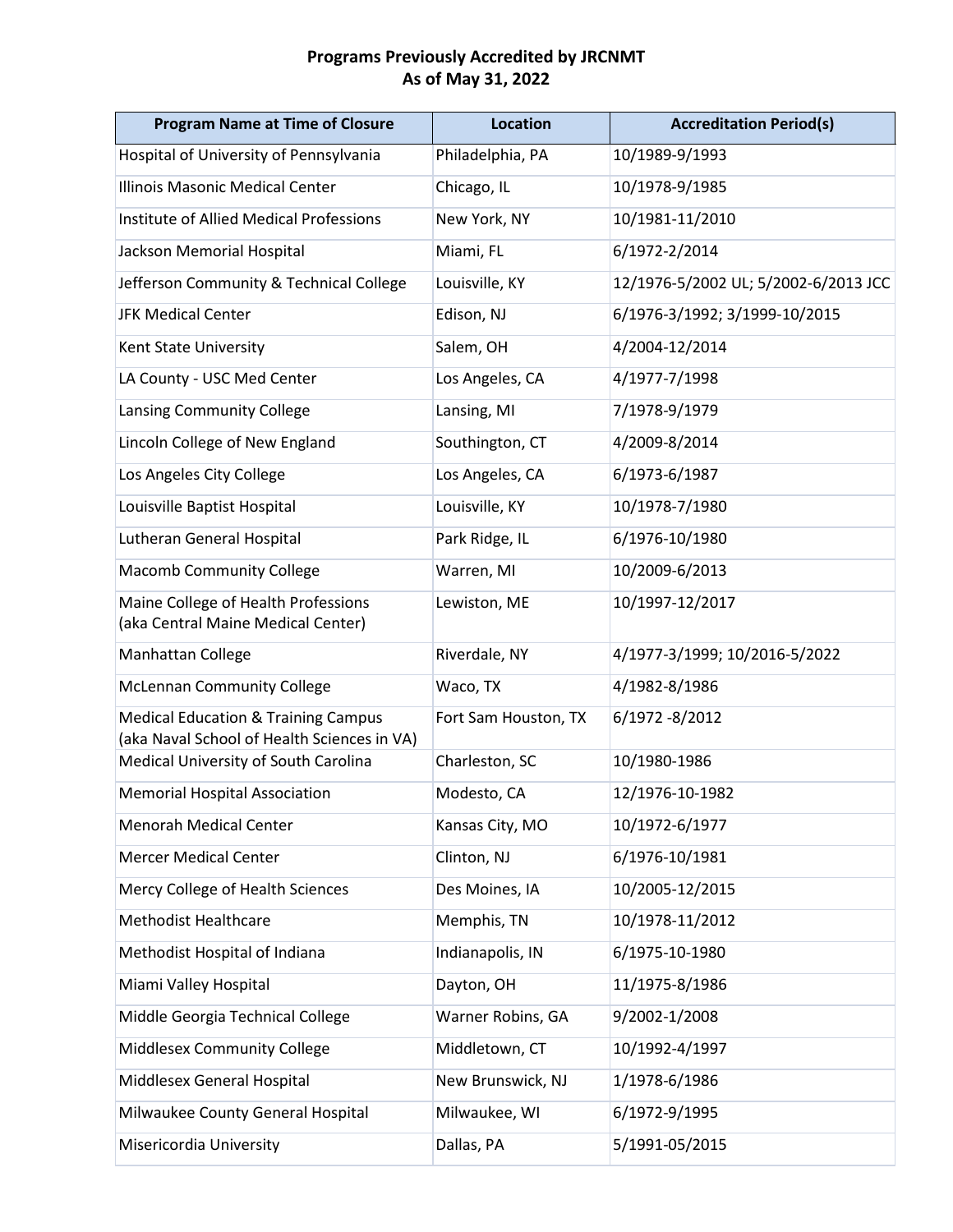| <b>Program Name at Time of Closure</b>                                                        | <b>Location</b>      | <b>Accreditation Period(s)</b>       |
|-----------------------------------------------------------------------------------------------|----------------------|--------------------------------------|
| Hospital of University of Pennsylvania                                                        | Philadelphia, PA     | 10/1989-9/1993                       |
| Illinois Masonic Medical Center                                                               | Chicago, IL          | 10/1978-9/1985                       |
| <b>Institute of Allied Medical Professions</b>                                                | New York, NY         | 10/1981-11/2010                      |
| Jackson Memorial Hospital                                                                     | Miami, FL            | 6/1972-2/2014                        |
| Jefferson Community & Technical College                                                       | Louisville, KY       | 12/1976-5/2002 UL; 5/2002-6/2013 JCC |
| <b>JFK Medical Center</b>                                                                     | Edison, NJ           | 6/1976-3/1992; 3/1999-10/2015        |
| Kent State University                                                                         | Salem, OH            | 4/2004-12/2014                       |
| LA County - USC Med Center                                                                    | Los Angeles, CA      | 4/1977-7/1998                        |
| Lansing Community College                                                                     | Lansing, MI          | 7/1978-9/1979                        |
| Lincoln College of New England                                                                | Southington, CT      | 4/2009-8/2014                        |
| Los Angeles City College                                                                      | Los Angeles, CA      | 6/1973-6/1987                        |
| Louisville Baptist Hospital                                                                   | Louisville, KY       | 10/1978-7/1980                       |
| Lutheran General Hospital                                                                     | Park Ridge, IL       | 6/1976-10/1980                       |
| <b>Macomb Community College</b>                                                               | Warren, MI           | 10/2009-6/2013                       |
| Maine College of Health Professions<br>(aka Central Maine Medical Center)                     | Lewiston, ME         | 10/1997-12/2017                      |
| Manhattan College                                                                             | Riverdale, NY        | 4/1977-3/1999; 10/2016-5/2022        |
| <b>McLennan Community College</b>                                                             | Waco, TX             | 4/1982-8/1986                        |
| <b>Medical Education &amp; Training Campus</b><br>(aka Naval School of Health Sciences in VA) | Fort Sam Houston, TX | 6/1972 -8/2012                       |
| Medical University of South Carolina                                                          | Charleston, SC       | 10/1980-1986                         |
| <b>Memorial Hospital Association</b>                                                          | Modesto, CA          | 12/1976-10-1982                      |
| <b>Menorah Medical Center</b>                                                                 | Kansas City, MO      | 10/1972-6/1977                       |
| <b>Mercer Medical Center</b>                                                                  | Clinton, NJ          | 6/1976-10/1981                       |
| Mercy College of Health Sciences                                                              | Des Moines, IA       | 10/2005-12/2015                      |
| <b>Methodist Healthcare</b>                                                                   | Memphis, TN          | 10/1978-11/2012                      |
| Methodist Hospital of Indiana                                                                 | Indianapolis, IN     | 6/1975-10-1980                       |
| Miami Valley Hospital                                                                         | Dayton, OH           | 11/1975-8/1986                       |
| Middle Georgia Technical College                                                              | Warner Robins, GA    | 9/2002-1/2008                        |
| <b>Middlesex Community College</b>                                                            | Middletown, CT       | 10/1992-4/1997                       |
| Middlesex General Hospital                                                                    | New Brunswick, NJ    | 1/1978-6/1986                        |
| Milwaukee County General Hospital                                                             | Milwaukee, WI        | 6/1972-9/1995                        |
| Misericordia University                                                                       | Dallas, PA           | 5/1991-05/2015                       |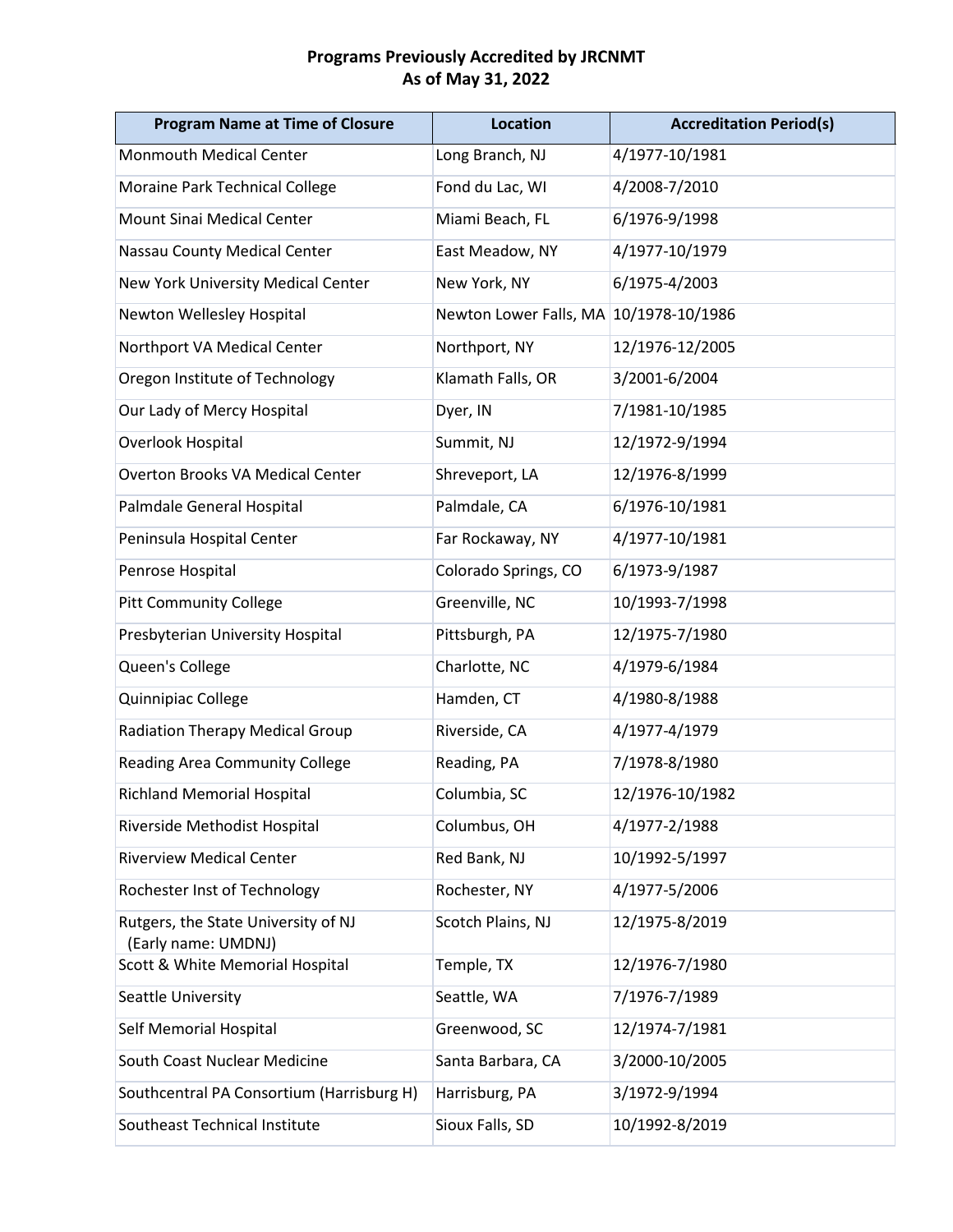| <b>Program Name at Time of Closure</b>                     | <b>Location</b>                        | <b>Accreditation Period(s)</b> |
|------------------------------------------------------------|----------------------------------------|--------------------------------|
| <b>Monmouth Medical Center</b>                             | Long Branch, NJ                        | 4/1977-10/1981                 |
| Moraine Park Technical College                             | Fond du Lac, WI                        | 4/2008-7/2010                  |
| <b>Mount Sinai Medical Center</b>                          | Miami Beach, FL                        | 6/1976-9/1998                  |
| Nassau County Medical Center                               | East Meadow, NY                        | 4/1977-10/1979                 |
| New York University Medical Center                         | New York, NY                           | 6/1975-4/2003                  |
| Newton Wellesley Hospital                                  | Newton Lower Falls, MA 10/1978-10/1986 |                                |
| Northport VA Medical Center                                | Northport, NY                          | 12/1976-12/2005                |
| Oregon Institute of Technology                             | Klamath Falls, OR                      | 3/2001-6/2004                  |
| Our Lady of Mercy Hospital                                 | Dyer, IN                               | 7/1981-10/1985                 |
| Overlook Hospital                                          | Summit, NJ                             | 12/1972-9/1994                 |
| <b>Overton Brooks VA Medical Center</b>                    | Shreveport, LA                         | 12/1976-8/1999                 |
| Palmdale General Hospital                                  | Palmdale, CA                           | 6/1976-10/1981                 |
| Peninsula Hospital Center                                  | Far Rockaway, NY                       | 4/1977-10/1981                 |
| Penrose Hospital                                           | Colorado Springs, CO                   | 6/1973-9/1987                  |
| <b>Pitt Community College</b>                              | Greenville, NC                         | 10/1993-7/1998                 |
| Presbyterian University Hospital                           | Pittsburgh, PA                         | 12/1975-7/1980                 |
| Queen's College                                            | Charlotte, NC                          | 4/1979-6/1984                  |
| Quinnipiac College                                         | Hamden, CT                             | 4/1980-8/1988                  |
| <b>Radiation Therapy Medical Group</b>                     | Riverside, CA                          | 4/1977-4/1979                  |
| <b>Reading Area Community College</b>                      | Reading, PA                            | 7/1978-8/1980                  |
| <b>Richland Memorial Hospital</b>                          | Columbia, SC                           | 12/1976-10/1982                |
| Riverside Methodist Hospital                               | Columbus, OH                           | 4/1977-2/1988                  |
| <b>Riverview Medical Center</b>                            | Red Bank, NJ                           | 10/1992-5/1997                 |
| Rochester Inst of Technology                               | Rochester, NY                          | 4/1977-5/2006                  |
| Rutgers, the State University of NJ<br>(Early name: UMDNJ) | Scotch Plains, NJ                      | 12/1975-8/2019                 |
| Scott & White Memorial Hospital                            | Temple, TX                             | 12/1976-7/1980                 |
| Seattle University                                         | Seattle, WA                            | 7/1976-7/1989                  |
| Self Memorial Hospital                                     | Greenwood, SC                          | 12/1974-7/1981                 |
| South Coast Nuclear Medicine                               | Santa Barbara, CA                      | 3/2000-10/2005                 |
| Southcentral PA Consortium (Harrisburg H)                  | Harrisburg, PA                         | 3/1972-9/1994                  |
| Southeast Technical Institute                              | Sioux Falls, SD                        | 10/1992-8/2019                 |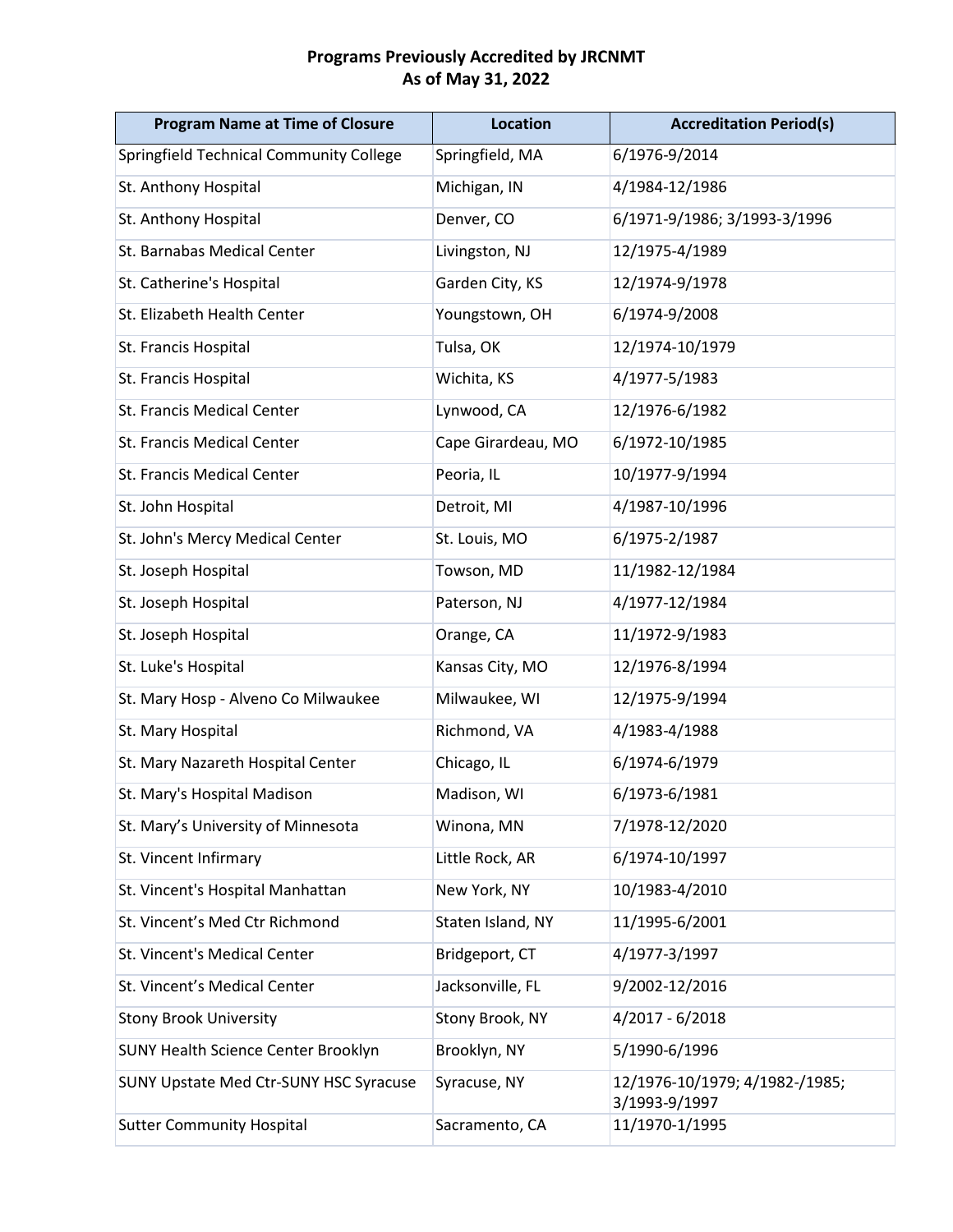| <b>Program Name at Time of Closure</b>     | <b>Location</b>    | <b>Accreditation Period(s)</b>                  |
|--------------------------------------------|--------------------|-------------------------------------------------|
| Springfield Technical Community College    | Springfield, MA    | 6/1976-9/2014                                   |
| St. Anthony Hospital                       | Michigan, IN       | 4/1984-12/1986                                  |
| St. Anthony Hospital                       | Denver, CO         | 6/1971-9/1986; 3/1993-3/1996                    |
| St. Barnabas Medical Center                | Livingston, NJ     | 12/1975-4/1989                                  |
| St. Catherine's Hospital                   | Garden City, KS    | 12/1974-9/1978                                  |
| St. Elizabeth Health Center                | Youngstown, OH     | 6/1974-9/2008                                   |
| St. Francis Hospital                       | Tulsa, OK          | 12/1974-10/1979                                 |
| St. Francis Hospital                       | Wichita, KS        | 4/1977-5/1983                                   |
| St. Francis Medical Center                 | Lynwood, CA        | 12/1976-6/1982                                  |
| St. Francis Medical Center                 | Cape Girardeau, MO | 6/1972-10/1985                                  |
| St. Francis Medical Center                 | Peoria, IL         | 10/1977-9/1994                                  |
| St. John Hospital                          | Detroit, MI        | 4/1987-10/1996                                  |
| St. John's Mercy Medical Center            | St. Louis, MO      | 6/1975-2/1987                                   |
| St. Joseph Hospital                        | Towson, MD         | 11/1982-12/1984                                 |
| St. Joseph Hospital                        | Paterson, NJ       | 4/1977-12/1984                                  |
| St. Joseph Hospital                        | Orange, CA         | 11/1972-9/1983                                  |
| St. Luke's Hospital                        | Kansas City, MO    | 12/1976-8/1994                                  |
| St. Mary Hosp - Alveno Co Milwaukee        | Milwaukee, WI      | 12/1975-9/1994                                  |
| St. Mary Hospital                          | Richmond, VA       | 4/1983-4/1988                                   |
| St. Mary Nazareth Hospital Center          | Chicago, IL        | 6/1974-6/1979                                   |
| St. Mary's Hospital Madison                | Madison, WI        | 6/1973-6/1981                                   |
| St. Mary's University of Minnesota         | Winona, MN         | 7/1978-12/2020                                  |
| St. Vincent Infirmary                      | Little Rock, AR    | 6/1974-10/1997                                  |
| St. Vincent's Hospital Manhattan           | New York, NY       | 10/1983-4/2010                                  |
| St. Vincent's Med Ctr Richmond             | Staten Island, NY  | 11/1995-6/2001                                  |
| St. Vincent's Medical Center               | Bridgeport, CT     | 4/1977-3/1997                                   |
| St. Vincent's Medical Center               | Jacksonville, FL   | 9/2002-12/2016                                  |
| <b>Stony Brook University</b>              | Stony Brook, NY    | 4/2017 - 6/2018                                 |
| <b>SUNY Health Science Center Brooklyn</b> | Brooklyn, NY       | 5/1990-6/1996                                   |
| SUNY Upstate Med Ctr-SUNY HSC Syracuse     | Syracuse, NY       | 12/1976-10/1979; 4/1982-/1985;<br>3/1993-9/1997 |
| <b>Sutter Community Hospital</b>           | Sacramento, CA     | 11/1970-1/1995                                  |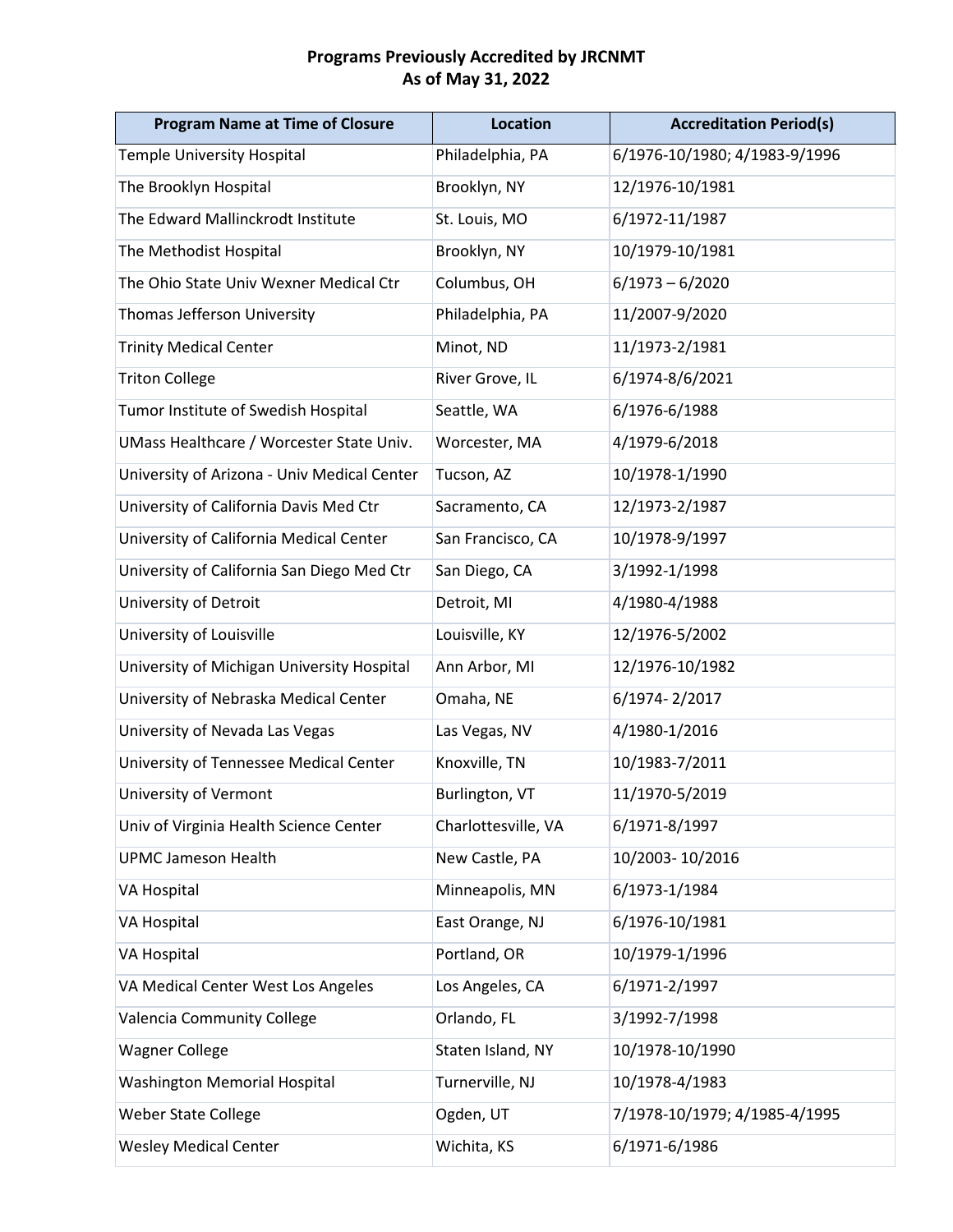| <b>Program Name at Time of Closure</b>      | <b>Location</b>     | <b>Accreditation Period(s)</b> |
|---------------------------------------------|---------------------|--------------------------------|
| Temple University Hospital                  | Philadelphia, PA    | 6/1976-10/1980; 4/1983-9/1996  |
| The Brooklyn Hospital                       | Brooklyn, NY        | 12/1976-10/1981                |
| The Edward Mallinckrodt Institute           | St. Louis, MO       | 6/1972-11/1987                 |
| The Methodist Hospital                      | Brooklyn, NY        | 10/1979-10/1981                |
| The Ohio State Univ Wexner Medical Ctr      | Columbus, OH        | $6/1973 - 6/2020$              |
| Thomas Jefferson University                 | Philadelphia, PA    | 11/2007-9/2020                 |
| <b>Trinity Medical Center</b>               | Minot, ND           | 11/1973-2/1981                 |
| <b>Triton College</b>                       | River Grove, IL     | 6/1974-8/6/2021                |
| Tumor Institute of Swedish Hospital         | Seattle, WA         | 6/1976-6/1988                  |
| UMass Healthcare / Worcester State Univ.    | Worcester, MA       | 4/1979-6/2018                  |
| University of Arizona - Univ Medical Center | Tucson, AZ          | 10/1978-1/1990                 |
| University of California Davis Med Ctr      | Sacramento, CA      | 12/1973-2/1987                 |
| University of California Medical Center     | San Francisco, CA   | 10/1978-9/1997                 |
| University of California San Diego Med Ctr  | San Diego, CA       | 3/1992-1/1998                  |
| University of Detroit                       | Detroit, MI         | 4/1980-4/1988                  |
| University of Louisville                    | Louisville, KY      | 12/1976-5/2002                 |
| University of Michigan University Hospital  | Ann Arbor, MI       | 12/1976-10/1982                |
| University of Nebraska Medical Center       | Omaha, NE           | 6/1974-2/2017                  |
| University of Nevada Las Vegas              | Las Vegas, NV       | 4/1980-1/2016                  |
| University of Tennessee Medical Center      | Knoxville, TN       | 10/1983-7/2011                 |
| University of Vermont                       | Burlington, VT      | 11/1970-5/2019                 |
| Univ of Virginia Health Science Center      | Charlottesville, VA | 6/1971-8/1997                  |
| <b>UPMC Jameson Health</b>                  | New Castle, PA      | 10/2003-10/2016                |
| <b>VA Hospital</b>                          | Minneapolis, MN     | 6/1973-1/1984                  |
| VA Hospital                                 | East Orange, NJ     | 6/1976-10/1981                 |
| VA Hospital                                 | Portland, OR        | 10/1979-1/1996                 |
| VA Medical Center West Los Angeles          | Los Angeles, CA     | 6/1971-2/1997                  |
| Valencia Community College                  | Orlando, FL         | 3/1992-7/1998                  |
| <b>Wagner College</b>                       | Staten Island, NY   | 10/1978-10/1990                |
| <b>Washington Memorial Hospital</b>         | Turnerville, NJ     | 10/1978-4/1983                 |
| <b>Weber State College</b>                  | Ogden, UT           | 7/1978-10/1979; 4/1985-4/1995  |
| <b>Wesley Medical Center</b>                | Wichita, KS         | 6/1971-6/1986                  |